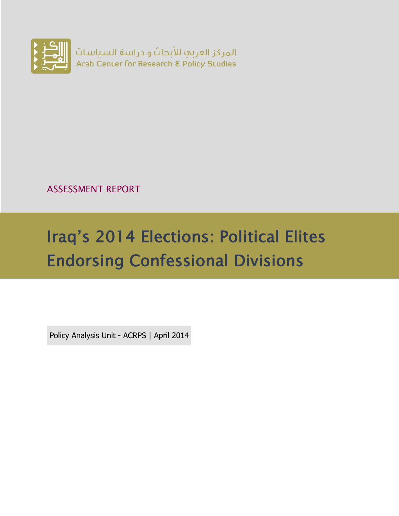

ASSESSMENT REPORT

# Iraq's 2014 Elections: Political Elites Endorsing Confessional Divisions

Policy Analysis Unit - ACRPS | April 2014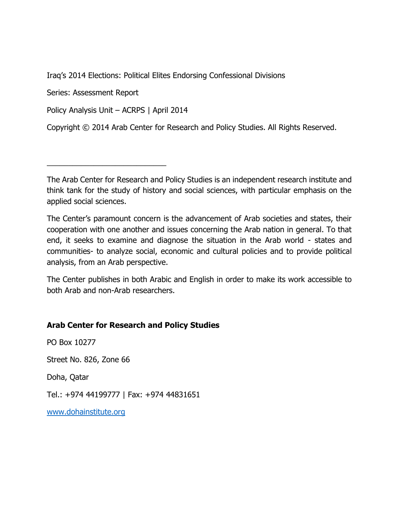Iraq's 2014 Elections: Political Elites Endorsing Confessional Divisions

Series: Assessment Report

Policy Analysis Unit – ACRPS | April 2014

\_\_\_\_\_\_\_\_\_\_\_\_\_\_\_\_\_\_\_\_\_\_\_\_\_\_\_\_

Copyright © 2014 Arab Center for Research and Policy Studies. All Rights Reserved.

The Arab Center for Research and Policy Studies is an independent research institute and think tank for the study of history and social sciences, with particular emphasis on the applied social sciences.

The Center's paramount concern is the advancement of Arab societies and states, their cooperation with one another and issues concerning the Arab nation in general. To that end, it seeks to examine and diagnose the situation in the Arab world - states and communities- to analyze social, economic and cultural policies and to provide political analysis, from an Arab perspective.

The Center publishes in both Arabic and English in order to make its work accessible to both Arab and non-Arab researchers.

#### **Arab Center for Research and Policy Studies**

PO Box 10277

Street No. 826, Zone 66

Doha, Qatar

Tel.: +974 44199777 | Fax: +974 44831651

[www.dohainstitute.org](file:///C:/Users/dena.qaddumi/Desktop/www.dohainstitute.org)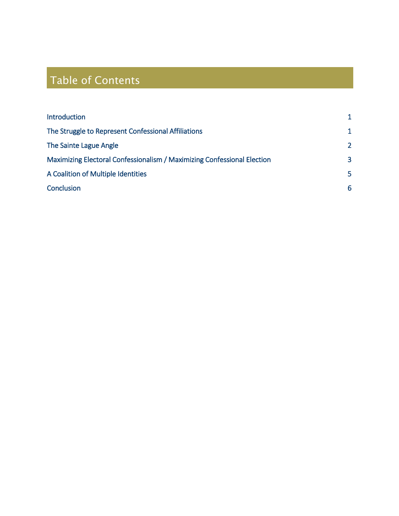## Table of Contents

| Introduction                                                            |               |
|-------------------------------------------------------------------------|---------------|
| The Struggle to Represent Confessional Affiliations                     | 1             |
| The Sainte Lague Angle                                                  | $\mathcal{L}$ |
| Maximizing Electoral Confessionalism / Maximizing Confessional Election | 3             |
| A Coalition of Multiple Identities                                      | 5             |
| Conclusion                                                              | 6             |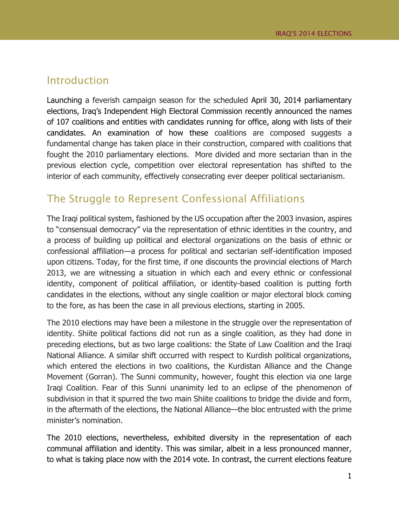#### <span id="page-3-0"></span>Introduction

Launching a feverish campaign season for the scheduled April 30, 2014 parliamentary elections, Iraq's Independent High Electoral Commission recently announced the names of 107 coalitions and entities with candidates running for office, along with lists of their candidates. An examination of how these coalitions are composed suggests a fundamental change has taken place in their construction, compared with coalitions that fought the 2010 parliamentary elections. More divided and more sectarian than in the previous election cycle, competition over electoral representation has shifted to the interior of each community, effectively consecrating ever deeper political sectarianism.

#### <span id="page-3-1"></span>The Struggle to Represent Confessional Affiliations

The Iraqi political system, fashioned by the US occupation after the 2003 invasion, aspires to "consensual democracy" via the representation of ethnic identities in the country, and a process of building up political and electoral organizations on the basis of ethnic or confessional affiliation—a process for political and sectarian self-identification imposed upon citizens. Today, for the first time, if one discounts the provincial elections of March 2013, we are witnessing a situation in which each and every ethnic or confessional identity, component of political affiliation, or identity-based coalition is putting forth candidates in the elections, without any single coalition or major electoral block coming to the fore, as has been the case in all previous elections, starting in 2005.

The 2010 elections may have been a milestone in the struggle over the representation of identity. Shiite political factions did not run as a single coalition, as they had done in preceding elections, but as two large coalitions: the State of Law Coalition and the Iraqi National Alliance. A similar shift occurred with respect to Kurdish political organizations, which entered the elections in two coalitions, the Kurdistan Alliance and the Change Movement (Gorran). The Sunni community, however, fought this election via one large Iraqi Coalition. Fear of this Sunni unanimity led to an eclipse of the phenomenon of subdivision in that it spurred the two main Shiite coalitions to bridge the divide and form, in the aftermath of the elections, the National Alliance—the bloc entrusted with the prime minister's nomination.

The 2010 elections, nevertheless, exhibited diversity in the representation of each communal affiliation and identity. This was similar, albeit in a less pronounced manner, to what is taking place now with the 2014 vote. In contrast, the current elections feature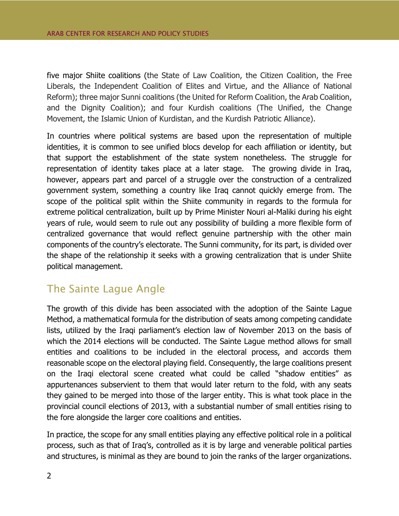five major Shiite coalitions (the State of Law Coalition, the Citizen Coalition, the Free Liberals, the Independent Coalition of Elites and Virtue, and the Alliance of National Reform); three major Sunni coalitions (the United for Reform Coalition, the Arab Coalition, and the Dignity Coalition); and four Kurdish coalitions (The Unified, the Change Movement, the Islamic Union of Kurdistan, and the Kurdish Patriotic Alliance).

In countries where political systems are based upon the representation of multiple identities, it is common to see unified blocs develop for each affiliation or identity, but that support the establishment of the state system nonetheless. The struggle for representation of identity takes place at a later stage. The growing divide in Iraq, however, appears part and parcel of a struggle over the construction of a centralized government system, something a country like Iraq cannot quickly emerge from. The scope of the political split within the Shiite community in regards to the formula for extreme political centralization, built up by Prime Minister Nouri al-Maliki during his eight years of rule, would seem to rule out any possibility of building a more flexible form of centralized governance that would reflect genuine partnership with the other main components of the country's electorate. The Sunni community, for its part, is divided over the shape of the relationship it seeks with a growing centralization that is under Shiite political management.

#### <span id="page-4-0"></span>The Sainte Lague Angle

The growth of this divide has been associated with the adoption of the Sainte Lague Method, a mathematical formula for the distribution of seats among competing candidate lists, utilized by the Iraqi parliament's election law of November 2013 on the basis of which the 2014 elections will be conducted. The Sainte Lague method allows for small entities and coalitions to be included in the electoral process, and accords them reasonable scope on the electoral playing field. Consequently, the large coalitions present on the Iraqi electoral scene created what could be called "shadow entities" as appurtenances subservient to them that would later return to the fold, with any seats they gained to be merged into those of the larger entity. This is what took place in the provincial council elections of 2013, with a substantial number of small entities rising to the fore alongside the larger core coalitions and entities.

In practice, the scope for any small entities playing any effective political role in a political process, such as that of Iraq's, controlled as it is by large and venerable political parties and structures, is minimal as they are bound to join the ranks of the larger organizations.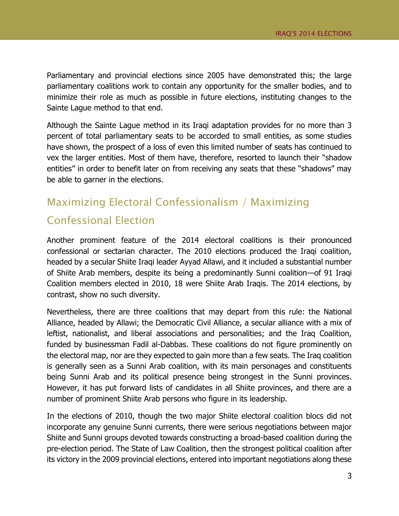Parliamentary and provincial elections since 2005 have demonstrated this; the large parliamentary coalitions work to contain any opportunity for the smaller bodies, and to minimize their role as much as possible in future elections, instituting changes to the Sainte Lague method to that end.

Although the Sainte Lague method in its Iraqi adaptation provides for no more than 3 percent of total parliamentary seats to be accorded to small entities, as some studies have shown, the prospect of a loss of even this limited number of seats has continued to vex the larger entities. Most of them have, therefore, resorted to launch their "shadow entities" in order to benefit later on from receiving any seats that these "shadows" may be able to garner in the elections.

### <span id="page-5-0"></span>Maximizing Electoral Confessionalism / Maximizing Confessional Election

Another prominent feature of the 2014 electoral coalitions is their pronounced confessional or sectarian character. The 2010 elections produced the Iraqi coalition, headed by a secular Shiite Iraqi leader Ayyad Allawi, and it included a substantial number of Shiite Arab members, despite its being a predominantly Sunni coalition—of 91 Iraqi Coalition members elected in 2010, 18 were Shiite Arab Iraqis. The 2014 elections, by contrast, show no such diversity.

Nevertheless, there are three coalitions that may depart from this rule: the National Alliance, headed by Allawi; the Democratic Civil Alliance, a secular alliance with a mix of leftist, nationalist, and liberal associations and personalities; and the Iraq Coalition, funded by businessman Fadil al-Dabbas. These coalitions do not figure prominently on the electoral map, nor are they expected to gain more than a few seats. The Iraq coalition is generally seen as a Sunni Arab coalition, with its main personages and constituents being Sunni Arab and its political presence being strongest in the Sunni provinces. However, it has put forward lists of candidates in all Shiite provinces, and there are a number of prominent Shiite Arab persons who figure in its leadership.

In the elections of 2010, though the two major Shiite electoral coalition blocs did not incorporate any genuine Sunni currents, there were serious negotiations between major Shiite and Sunni groups devoted towards constructing a broad-based coalition during the pre-election period. The State of Law Coalition, then the strongest political coalition after its victory in the 2009 provincial elections, entered into important negotiations along these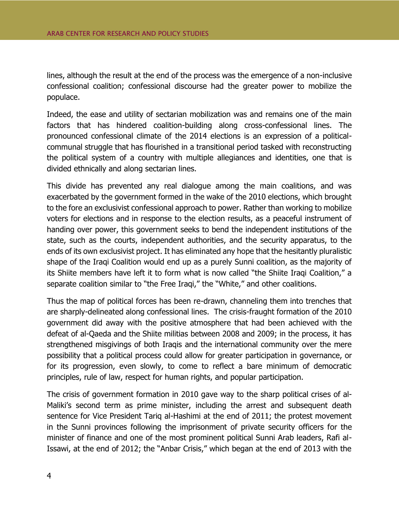lines, although the result at the end of the process was the emergence of a non-inclusive confessional coalition; confessional discourse had the greater power to mobilize the populace.

Indeed, the ease and utility of sectarian mobilization was and remains one of the main factors that has hindered coalition-building along cross-confessional lines. The pronounced confessional climate of the 2014 elections is an expression of a politicalcommunal struggle that has flourished in a transitional period tasked with reconstructing the political system of a country with multiple allegiances and identities, one that is divided ethnically and along sectarian lines.

This divide has prevented any real dialogue among the main coalitions, and was exacerbated by the government formed in the wake of the 2010 elections, which brought to the fore an exclusivist confessional approach to power. Rather than working to mobilize voters for elections and in response to the election results, as a peaceful instrument of handing over power, this government seeks to bend the independent institutions of the state, such as the courts, independent authorities, and the security apparatus, to the ends of its own exclusivist project. It has eliminated any hope that the hesitantly pluralistic shape of the Iraqi Coalition would end up as a purely Sunni coalition, as the majority of its Shiite members have left it to form what is now called "the Shiite Iraqi Coalition," a separate coalition similar to "the Free Iraqi," the "White," and other coalitions.

Thus the map of political forces has been re-drawn, channeling them into trenches that are sharply-delineated along confessional lines. The crisis-fraught formation of the 2010 government did away with the positive atmosphere that had been achieved with the defeat of al-Qaeda and the Shiite militias between 2008 and 2009; in the process, it has strengthened misgivings of both Iraqis and the international community over the mere possibility that a political process could allow for greater participation in governance, or for its progression, even slowly, to come to reflect a bare minimum of democratic principles, rule of law, respect for human rights, and popular participation.

The crisis of government formation in 2010 gave way to the sharp political crises of al-Maliki's second term as prime minister, including the arrest and subsequent death sentence for Vice President Tariq al-Hashimi at the end of 2011; the protest movement in the Sunni provinces following the imprisonment of private security officers for the minister of finance and one of the most prominent political Sunni Arab leaders, Rafi al-Issawi, at the end of 2012; the "Anbar Crisis," which began at the end of 2013 with the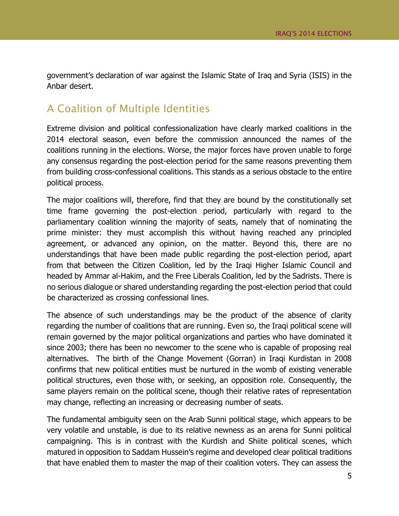government's declaration of war against the Islamic State of Iraq and Syria (ISIS) in the Anbar desert.

#### <span id="page-7-0"></span>A Coalition of Multiple Identities

Extreme division and political confessionalization have clearly marked coalitions in the 2014 electoral season, even before the commission announced the names of the coalitions running in the elections. Worse, the major forces have proven unable to forge any consensus regarding the post-election period for the same reasons preventing them from building cross-confessional coalitions. This stands as a serious obstacle to the entire political process.

The major coalitions will, therefore, find that they are bound by the constitutionally set time frame governing the post-election period, particularly with regard to the parliamentary coalition winning the majority of seats, namely that of nominating the prime minister: they must accomplish this without having reached any principled agreement, or advanced any opinion, on the matter. Beyond this, there are no understandings that have been made public regarding the post-election period, apart from that between the Citizen Coalition, led by the Iraqi Higher Islamic Council and headed by Ammar al-Hakim, and the Free Liberals Coalition, led by the Sadrists. There is no serious dialogue or shared understanding regarding the post-election period that could be characterized as crossing confessional lines.

The absence of such understandings may be the product of the absence of clarity regarding the number of coalitions that are running. Even so, the Iraqi political scene will remain governed by the major political organizations and parties who have dominated it since 2003; there has been no newcomer to the scene who is capable of proposing real alternatives. The birth of the Change Movement (Gorran) in Iraqi Kurdistan in 2008 confirms that new political entities must be nurtured in the womb of existing venerable political structures, even those with, or seeking, an opposition role. Consequently, the same players remain on the political scene, though their relative rates of representation may change, reflecting an increasing or decreasing number of seats.

The fundamental ambiguity seen on the Arab Sunni political stage, which appears to be very volatile and unstable, is due to its relative newness as an arena for Sunni political campaigning. This is in contrast with the Kurdish and Shiite political scenes, which matured in opposition to Saddam Hussein's regime and developed clear political traditions that have enabled them to master the map of their coalition voters. They can assess the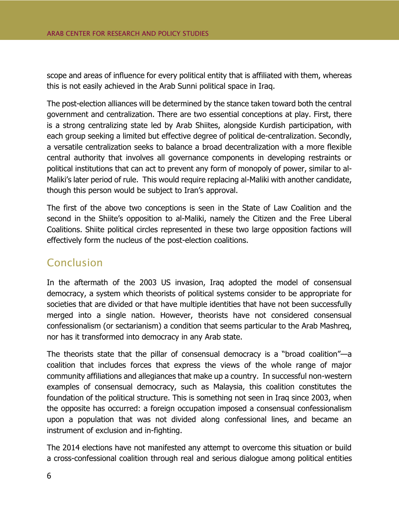scope and areas of influence for every political entity that is affiliated with them, whereas this is not easily achieved in the Arab Sunni political space in Iraq.

The post-election alliances will be determined by the stance taken toward both the central government and centralization. There are two essential conceptions at play. First, there is a strong centralizing state led by Arab Shiites, alongside Kurdish participation, with each group seeking a limited but effective degree of political de-centralization. Secondly, a versatile centralization seeks to balance a broad decentralization with a more flexible central authority that involves all governance components in developing restraints or political institutions that can act to prevent any form of monopoly of power, similar to al-Maliki's later period of rule. This would require replacing al-Maliki with another candidate, though this person would be subject to Iran's approval.

The first of the above two conceptions is seen in the State of Law Coalition and the second in the Shiite's opposition to al-Maliki, namely the Citizen and the Free Liberal Coalitions. Shiite political circles represented in these two large opposition factions will effectively form the nucleus of the post-election coalitions.

#### <span id="page-8-0"></span>Conclusion

In the aftermath of the 2003 US invasion, Iraq adopted the model of consensual democracy, a system which theorists of political systems consider to be appropriate for societies that are divided or that have multiple identities that have not been successfully merged into a single nation. However, theorists have not considered consensual confessionalism (or sectarianism) a condition that seems particular to the Arab Mashreq, nor has it transformed into democracy in any Arab state.

The theorists state that the pillar of consensual democracy is a "broad coalition"—a coalition that includes forces that express the views of the whole range of major community affiliations and allegiances that make up a country. In successful non-western examples of consensual democracy, such as Malaysia, this coalition constitutes the foundation of the political structure. This is something not seen in Iraq since 2003, when the opposite has occurred: a foreign occupation imposed a consensual confessionalism upon a population that was not divided along confessional lines, and became an instrument of exclusion and in-fighting.

The 2014 elections have not manifested any attempt to overcome this situation or build a cross-confessional coalition through real and serious dialogue among political entities